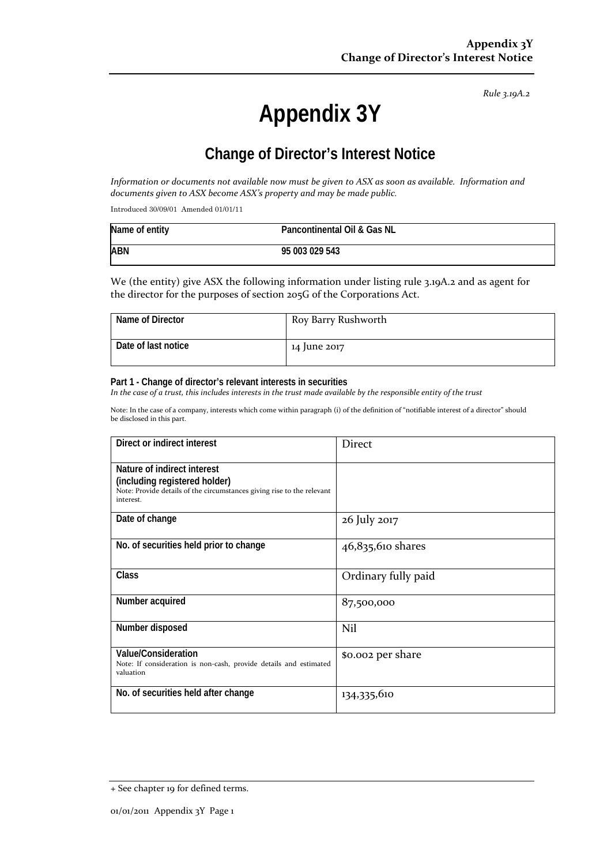*Rule 3.19A.2*

# **Appendix 3Y**

# **Change of Director's Interest Notice**

Information or documents not available now must be given to ASX as soon as available. Information and *documents given to ASX become ASX's property and may be made public.*

Introduced 30/09/01 Amended 01/01/11

| Name of entity | Pancontinental Oil & Gas NL |
|----------------|-----------------------------|
| <b>ABN</b>     | 95 003 029 543              |

We (the entity) give ASX the following information under listing rule 3.19A.2 and as agent for the director for the purposes of section 205G of the Corporations Act.

| Name of Director    | Roy Barry Rushworth |
|---------------------|---------------------|
| Date of last notice | 14 June 2017        |

#### **Part 1 - Change of director's relevant interests in securities**

In the case of a trust, this includes interests in the trust made available by the responsible entity of the trust

Note: In the case of a company, interests which come within paragraph (i) of the definition of "notifiable interest of a director" should be disclosed in this part.

| Direct or indirect interest                                                                                                                         | <b>Direct</b>       |
|-----------------------------------------------------------------------------------------------------------------------------------------------------|---------------------|
| Nature of indirect interest<br>(including registered holder)<br>Note: Provide details of the circumstances giving rise to the relevant<br>interest. |                     |
| Date of change                                                                                                                                      | 26 July 2017        |
| No. of securities held prior to change                                                                                                              | 46,835,610 shares   |
| Class                                                                                                                                               | Ordinary fully paid |
| Number acquired                                                                                                                                     | 87,500,000          |
| Number disposed                                                                                                                                     | Nil                 |
| Value/Consideration<br>Note: If consideration is non-cash, provide details and estimated<br>valuation                                               | \$0.002 per share   |
| No. of securities held after change                                                                                                                 | 134,335,610         |

<sup>+</sup> See chapter 19 for defined terms.